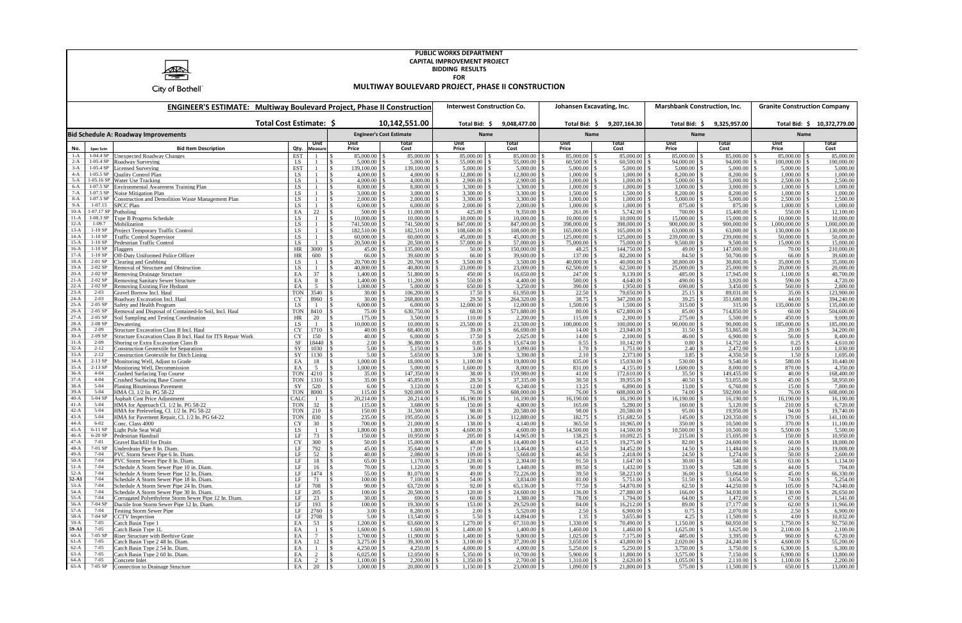

## **PUBLIC WORKS DEPARTMENT CAPITAL IMPROVEMENT PROJECT BIDDING RESULTS FOR**

**MULTIWAY BOULEVARD PROJECT, PHASE II CONSTRUCTION**

| <b>ENGINEER'S ESTIMATE: Multiway Boulevard Project, Phase II Construction</b> |                            |                                                                                                               |                                            |                                          |                                 | <b>Interwest Construction Co.</b> |                          | Johansen Excavating, Inc.  |                           | <b>Marshbank Construction, Inc.</b> |                             | <b>Granite Construction Company</b>    |                             |
|-------------------------------------------------------------------------------|----------------------------|---------------------------------------------------------------------------------------------------------------|--------------------------------------------|------------------------------------------|---------------------------------|-----------------------------------|--------------------------|----------------------------|---------------------------|-------------------------------------|-----------------------------|----------------------------------------|-----------------------------|
|                                                                               |                            |                                                                                                               | Total Cost Estimate: \$                    |                                          | 10,142,551.00                   | Total Bid: \$                     | 9,048,477.00             | Total Bid: \$              | 9,207,164.30              | Total Bid: \$                       | 9,325,957.00                |                                        | Total Bid: \$ 10,372,779.00 |
|                                                                               |                            | <b>Bid Schedule A: Roadway Improvements</b>                                                                   |                                            |                                          | <b>Engineer's Cost Estimate</b> |                                   | Name                     |                            | Name                      | Name                                |                             | Name                                   |                             |
| No.                                                                           | Spec Sctn                  | <b>Bid Item Description</b>                                                                                   | Unit<br>Qty.<br><b>Measure</b>             | Unit<br>Price                            | Total<br>Cost                   | Unit<br>Price                     | Total<br>Cost            | Unit<br>Price              | Total<br>Cost             | <b>Unit</b><br>Price                | Total<br>Cost               | <b>Unit</b><br>Price                   | Total<br>Cost               |
| $1-A$                                                                         | 1-04.4 SP                  | <b>Unexpected Roadway Changes</b>                                                                             | <b>EST</b>                                 | 85,000.00<br>$\mathcal{S}$               | 85,000.00                       | 85,000.00                         | 85,000.00                | 85,000.00                  | 85,000.00                 | 85,000.00                           | 85,000.00                   | 85,000.00                              | 85,000.00                   |
| $2-A$<br>$3-A$                                                                | 1-05.4 SP<br>$1-05.4$ SP   | Roadway Surveying<br>Licensed Surveying                                                                       | LS<br><b>EST</b>                           | $5,000.00$ \$<br>139,100.00 \$           | 5,000.00<br>139,100.00          | 55,000.00<br>$5,000.00$ \$        | 55,000.00<br>5,000.00    | $60,500.00$ \$<br>5,000.00 | 60,500.00<br>5,000.00     | 94,000.00<br>5,000.00               | 94,000.00 \$<br>5,000.00    | $100,000.00$ \$<br>5,000.00            | 100,000.00<br>5,000.00      |
| $4-A$                                                                         | $1-05.5$ SP                | <b>Quality Control Plan</b>                                                                                   | LS.                                        | $4,000.00$ \$                            | 4,000.00                        | 12,800.00                         | 12,800.00                | 1,000.00                   | 1,000.00                  | 8,200.00                            | 8,200.00                    | 1,000.00                               | 1,000.00                    |
| $5-A$                                                                         |                            | 1-05.16 SP Water Use Tracking                                                                                 | LS                                         | \$.                                      | 4,000.00                        | $2,900.00$ \$                     | 2,900.00                 | $1,000.00$ \$              | 1,000.00                  | 5,000.00                            | 5,000.00 \$                 | $2,500.00$ \$                          | 2,500.00                    |
| $6-A$<br>$7-A$                                                                | $1-07.5$ SP<br>$1-07.5$ SP | <b>Environmental Awareness Training Plan</b><br>Noise Mitigation Plan                                         | LS<br>LS                                   | \$.<br>$3,000.00$   \$                   | 8,000.00<br>3,000.00            | $3,300.00$ \$<br>3,300.00         | 3,300.00<br>3,300.00     | 1,000.00<br>1,500.00       | 1,000.00<br>1,500.00      | 3,000.00<br>8,200.00                | 3,000.00<br>8,200.00        | 1,000.00<br>1,000.00                   | 1,000.00<br>1,000.00        |
| $8-A$                                                                         | $1-07.5$ SP                | Construction and Demolition Waste Management Plan                                                             | LS                                         | $\mathbb{S}$<br>$2,000.00$ \$            | 2,000.00                        | 3,300.00                          | 3,300.00                 | 1,000.00                   | 1,000.00                  | 5,000.00                            | 5,000.00                    | 2,500.00                               | 2,500.00                    |
| $9-A$                                                                         | 1-07.15                    | <b>SPCC Plan</b>                                                                                              | LS                                         | $6,000.00$ \$                            | 6,000.00                        | $2,000.00$ \$                     | 2,000.00                 | 1,000.00                   | 1,000.00                  | 875.00                              | 875.00 \$                   |                                        | 1,000.00                    |
| $10-A$                                                                        | 1-07.17 SP                 | Potholing                                                                                                     | EA<br>22                                   |                                          | 11,000.00                       |                                   | 9,350.00                 |                            | 5,742.00                  | 700.00                              | 15,400.00                   |                                        | 12,100.00                   |
| $11-A$<br>$12-A$                                                              | $1-08.3$ SP<br>1-09.7      | Type B Progress Schedule                                                                                      | LS                                         | $10,000.00$ \$                           | 10,000.00<br>741,500.00         | 10,000.00                         | 10,000.00                | 10,000.00                  | 10,000.00                 | 15,000.00                           | 15,000.00                   | 10,000.00                              | 10,000.00<br>,000,000.00    |
| $13-A$                                                                        | $1-10SP$                   | Mobilization<br>Project Temporary Traffic Control                                                             | LS.<br>LS                                  | 741,500.00 \$<br>182,510.00 \$<br>\$.    | 182,510.00                      | 847,000.00 \$<br>$108,600.00$ \$  | 847,000.00<br>108,600.00 | 398,000.00                 | 398,000.00<br>165,000.00  | 900,000.00<br>63,000.00             | 900,000.00<br>63,000.00     | 1,000,000.00<br>$130,000.00$ \$        | 130,000.00                  |
| $14-A$                                                                        | $1-10SP$                   | <b>Traffic Control Supervisor</b>                                                                             | LS                                         | $60,000.00$ \$                           | 60,000.00                       | 45,000.00                         | 45,000.00                | 125,000.00                 | 125,000.00                | 239,000.00                          | 239,000.00                  | 50,000.00                              | 50,000.00                   |
| $15-A$                                                                        | $1-10SP$                   | Pedestrian Traffic Control                                                                                    | LS<br>-1                                   |                                          | 20,500.00                       |                                   | 57,000.00                |                            | 75,000.00                 | 9,500.00                            | $9,500.00$ \$               | 15,000.00                              | 15,000.00                   |
| $16-A$                                                                        | $1-10SP$                   | Flaggers                                                                                                      | HR<br>3000                                 |                                          | 135,000.00                      | 50.00                             | 150,000.00               | $48.25$ \$                 | 144,750.00                | 49.00                               | 147,000.00                  | 70.00                                  | 210,000.00                  |
| $17-A$<br>$18-A$                                                              | $1-10SP$<br>$2-01$ SP      | Off-Duty Uniformed Police Officer<br>Clearing and Grubbing                                                    | HR<br>600<br>LS<br>-1                      | $66.00$ \ \ \$<br>\$                     | 39,600.00<br>20,700.00          | 66.00<br>$3,500.00$ \$            | 39,600.00<br>3,500.00    | 137.00<br>$40,000.00$ \ \$ | 82,200.00<br>40,000.00    | 84.50<br>30,800.00                  | 50,700.00<br>$30,800.00$ \$ | 66.00<br>$35,000.00$ \ \$              | 39,600.00<br>35,000.00      |
| $19-A$                                                                        | 2-02 SP                    | Removal of Structure and Obstruction                                                                          | LS                                         | 40,800.00 \$                             | 40,800.00                       | 23,000.00                         | 23,000.00                | 62,500.00                  | 62,500.00                 | 25,000.00                           | 25,000.00                   | 20,000.00                              | 20,000.00                   |
| $20-A$                                                                        | $2-02$ SP                  | <b>Removing Drainage Structure</b>                                                                            | 37<br>EA                                   | $1,400.00$ \$                            | 51,800.00                       | 450.00                            | 16,650.00                | 247.00                     | 9,139.00                  | 485.00                              | 17,945.00                   | 1,100.00                               | 40,700.00                   |
| $21-A$                                                                        | 2-02 SP                    | <b>Removing Sanitary Sewer Structure</b>                                                                      | EA<br>8                                    | \$<br>$1,400.00$ \$                      | 11,200.00                       | $550.00$ \$                       | 4,400.00                 | 580.00                     | 4,640.00                  | 490.00                              | $3,920.00$ \$               | 590.00                                 | 4,720.00                    |
| $22-A$<br>$23-A$                                                              | $2-02$ SP<br>$2 - 03$      | <b>Removing Existing Fire Hydrant</b>                                                                         | EA<br>5                                    | $1,000.00$ \$                            | 5,000.00                        | 650.00                            | 3,250.00                 | 390.00                     | 1,950.00                  | 690.00                              | 3,450.00                    | 560.00                                 | 2,800.00                    |
| $24-A$                                                                        | $2 - 03$                   | Gravel Borrow Incl. Haul<br>Roadway Excavation Incl. Haul                                                     | <b>TON</b><br>3540<br>CY<br>8960           | $30.00$ \$<br>$30.00$ \$                 | 106,200.00<br>268,800.00        | 17.50<br>29.50                    | 61,950.00<br>264,320.00  | 22.50<br>$38.75$ \$        | 79,650.00<br>347,200.00   | 25.15<br>39.25                      | 89,031.00<br>351,680.00 \$  | 35.00<br>44.00                         | 123,900.00<br>394,240.00    |
| $25-A$                                                                        | $2-05$ SP                  | Safety and Health Program                                                                                     | LS                                         | $6,000.00$ \$                            | 6,000.00                        | $12,000.00$ \$                    | 12,000.00                | $1,500.00$ \ \$            | 1,500.00                  | 315.00                              | 315.00                      | 135,000.00 \$                          | 135,000.00                  |
| $26-A$                                                                        | $2-05$ SP                  | Removal and Disposal of Contained-In Soil, Incl. Haul                                                         | <b>TON</b><br>8410                         | $75.00$ \$                               | 630,750.00                      | 68.00                             | 571,880.00               | 80.00                      | 672,800.00                | 85.00                               | 714,850.00                  | 60.00                                  | 504,600.00                  |
| $27-A$                                                                        | $2-05$ SP                  | Soil Sampling and Testing Coordination                                                                        | HR<br>20                                   |                                          | 3,500.00                        | 110.00                            | 2,200.00                 | 115.00                     | 2,300.00                  | 275.00                              | 5,500.00                    | 450.00                                 | 9,000.00                    |
| $28-A$<br>$29-A$                                                              | $2-08$ SP<br>$2 - 09$      | <b>Dewatering</b>                                                                                             | LS<br>$\overline{1}$                       | 10,000.00 \$                             | 10,000.00<br>68,400.00          | 23,500.00                         | 23,500.00<br>66,690.00   | 100,000.00                 | 100,000.00                | 90,000.00                           | 90,000.00                   | 185,000.00                             | 185,000.00                  |
| $30-A$                                                                        | 2-09 SP                    | <b>Structure Excavation Class B Incl. Haul</b><br>Structure Excavation Class B Incl. Haul for ITS Repair Work | <b>CY</b><br>1710<br>CY<br>150             | $40.00$ \ \ \$                           | 6,000.00                        | 39.00<br>17.50                    | 2,625.00                 | 14.00<br>14.00             | 23,940.00<br>2,100.00     | 31.50<br>46.00                      | 53,865.00<br>6,900.00       | 20.00<br>56.00                         | 34,200.00<br>8,400.00       |
| $31-A$                                                                        | $2 - 09$                   | Shoring or Extra Excavation Class B                                                                           | SF<br>18440                                | $2.00 \, \text{S}$                       | 36,880.00                       |                                   | 15,674.00                |                            | 10,142.00                 | 0.80                                | 14,752.00                   |                                        | 4,610.00                    |
| $32-A$                                                                        | $2 - 12$                   | <b>Construction Geotextile for Separation</b>                                                                 | SY<br>1030                                 | $5.00 \,$ \ \$                           | 5,150.00                        | 3.00                              | 3,090.00                 | $1.70 \pm \$$              | 1,751.00                  | 2.40                                | 2,472.00                    | 1.00                                   | 1,030.00                    |
| $33-A$                                                                        | $2 - 12$                   | <b>Construction Geotextile for Ditch Lining</b>                                                               | SY<br>1130                                 | $5.00 \, \text{S}$                       | 5,650.00                        | 3.00                              | 3,390.00                 | $2.10 \, \text{S}$         | 2,373.00                  | 3.85                                | 4,350.50                    | 1.50                                   | 1,695.00                    |
| $34-A$<br>$35-A$                                                              | $2-13$ SP<br>$2-13$ SP     | Monitoring Well, Adjust to Grade<br>Monitoring Well, Decommission                                             | EA<br>18<br>EA<br>5                        | $1,000.00$ \ \$                          | 18,000.00<br>5,000.00           | $1,100.00$ \$<br>1,600.00         | 19,800.00<br>8,000.00    | $835.00 \, \text{S}$       | 15,030.00 \$<br>4,155.00  | 530.00<br>1,600.00                  | 9,540.00<br>8,000.00        | $580.00$ \ \$<br>870.00                | 10,440.00<br>4,350.00       |
| $36-A$                                                                        | $4 - 04$                   | <b>Crushed Surfacing Top Course</b>                                                                           | <b>TON</b><br>4210                         | $35.00$ \$                               | 147,350.00                      | 38.00                             | 159,980.00               | 41.00                      | 172,610.00                | 35.50                               | 149,455.00                  | 40.00                                  | 168,400.00                  |
| $37-A$                                                                        | $4 - 04$                   | <b>Crushed Surfacing Base Course</b>                                                                          | <b>TON</b><br>1310                         | $35.00$ \$                               | 45,850.00                       | $28.50$ \$                        | 37,335.00                | $30.50$ \$                 | 39,955.00                 | 40.50                               | 53,055.00                   | 45.00                                  | 58,950.00                   |
| $38-A$                                                                        | $5 - 04$                   | <b>Planing Bituminous Pavement</b>                                                                            | SY<br>520                                  |                                          | 3,120.00                        | 12.00                             | 6,240.00                 |                            | 6,890.00                  | 13.00                               | 6,760.00                    | 15.00                                  | 7,800.00                    |
| $39-A$                                                                        | $5 - 04$                   | HMA Cl. 1/2 In. PG 58-22                                                                                      | <b>TON</b><br>8000                         |                                          | 920,000.00                      | 76.00                             | 608,000.00               | 76.00                      | 608,000.00                | 74.00                               | 592,000.00                  | 76.00                                  | 608,000.00                  |
| $40-A$<br>$41-A$                                                              | 5-04 SP<br>$5 - 04$        | <b>Asphalt Cost Price Adjustment</b><br>HMA for Approach Cl. 1/2 In. PG 58-22                                 | CALC<br>$\overline{1}$<br><b>TON</b><br>32 | $20,214.00$ \$                           | 20,214.00<br>3,680.00           | $16,190.00$ \ \$<br>150.00        | 16,190.00<br>4,800.00    | 16,190.00                  | 16,190.00<br>5,280.00     | 16,190.00<br>160.00                 | $16,190.00$ \$<br>5,120.00  | 16,190.00<br>210.00                    | 16,190.00<br>6,720.00       |
| $42-A$                                                                        | $5 - 04$                   | HMA for Preleveling, Cl. 1/2 In. PG 58-22                                                                     | <b>TON</b><br>210                          |                                          | 31,500.00                       | 98.00                             | 20,580.00                | 98.00                      | 20,580.00                 | 95.00                               | 19,950.00                   | 94.00                                  | 19,740.00                   |
| $43-A$                                                                        | $5 - 04$                   | HMA for Pavement Repair, Cl. 1/2 In. PG 64-22                                                                 | <b>TON</b><br>830                          | $235.00$ \ \ \$                          | 195,050.00                      | 136.00 \$                         | 112,880.00               | $182.75$ \$                | 151,682.50                | 145.00                              | 120,350.00                  | 170.00 \$                              | 141,100.00                  |
| $44-A$                                                                        | $6 - 02$                   | Conc. Class 4000                                                                                              | <b>CY</b><br>30                            | 700.00 \$                                | 21,000.00                       | 138.00                            | 4,140.00                 | $365.50$ \$                | 10,965.00                 | 350.00                              | 10,500.00                   |                                        | 11,100.00                   |
| $45-A$                                                                        | 6-11 SP                    | ight Pole Seat Wall                                                                                           | LS.                                        | 1,800.00 \$                              | 1,800.00                        | 4,600.00                          | 4,600.00                 | 14,500.00                  | 14,500.00                 | 10,500.00                           | 10,500.00                   | 5,500.00                               | 5,500.00                    |
| $46-A$<br>$47-A$                                                              | 6-20 SP<br>7-01            | Pedestrian Handrail<br>Gravel Backfill for Drain                                                              | 73<br>LF<br><b>CY</b><br>300               | $150.00$ \ \$<br>$50.00$ \ \ \$          | 10,950.00<br>15,000.00          | $205.00$ \$<br>48.00              | 14,965.00<br>14,400.00   |                            | 10,092.25<br>19,275.00    | 215.00<br>82.00                     | 15,695.00<br>24,600.00      | 150.00<br>60.00                        | 10,950.00<br>18,000.00      |
| $48-A$                                                                        | 7-01 SP                    | Underdrain Pipe 8 In. Diam.                                                                                   | LF<br>792                                  | $45.00 \, \text{S}$                      | 35,640.00                       | $17.00 \,$ \ \$                   | 13,464.00                | $43.50 \, \text{S}$        | 34,452.00 \$              | $14.50 \, \text{S}$                 |                             | $24.00 \, \text{S}$                    | 19,008.00                   |
| $49 - A$                                                                      | $7 - 04$                   | PVC Storm Sewer Pipe 6 In. Diam.                                                                              | 52                                         | $40.00\%$                                | 2,080.00 \$                     | $109.00$ \$                       | 5,668.00                 | $46.50$ \$                 | 2,418.00                  |                                     | 1,274.00                    | $50.00$ \$                             | 2,600.00                    |
| $50-A$                                                                        | $7 - 04$                   | PVC Storm Sewer Pipe 8 In. Diam.                                                                              | $\rm LF$<br>18                             |                                          | 1,170.00                        |                                   | 2,304.00                 | $91.50$ \$                 | $1,647.00$ \$             | 30.00                               | $540.00$ \ \$               | 63.00                                  | 1,134.00                    |
| $51-A$                                                                        | $7 - 04$                   | Schedule A Storm Sewer Pipe 10 in. Diam.                                                                      | LF<br>16                                   |                                          | 1,120.00                        | $90.00$ \ \ \$                    | 1,440.00                 |                            | 1,432.00                  | 33.00                               | 528.00                      | $44.00\degree$ \$                      | 704.00                      |
| $52-A$<br>52-A1                                                               | 7-04<br>$7 - 04$           | Schedule A Storm Sewer Pipe 12 In. Diam.<br>Schedule A Storm Sewer Pipe 18 In. Diam.                          | 1474<br>LF<br>LF<br>71                     | $100.00$ \$                              | 81,070.00<br>7,100.00           | $54.00 \,$ \ \$                   | 72,226.00<br>3,834.00    | $81.00 \,$ \ \$            | 58,223.00<br>5,751.00     | 36.00<br>51.50                      | 3,656.50                    | $45.00 \, \text{S}$<br>$74.00 \,$ \ \$ | 66,330.00<br>5,254.00       |
| $53-A$                                                                        | $7 - 04$                   | Schedule A Storm Sewer Pipe 24 In. Diam.                                                                      | LF<br>708                                  | $90.00$ \$                               | 63,720.00                       | $92.00$ \$                        | 65,136.00                | $77.50$ \$                 | 54,870.00                 | 62.50                               | 44,250.00                   |                                        | 74,340.00                   |
| $54-A$                                                                        | 7-04                       | Schedule A Storm Sewer Pipe 30 In. Diam.                                                                      | LF<br>205                                  |                                          | 20,500.00                       |                                   | 24,600.00                | $136.00 \, \vert \, \$     | 27,880.00                 | 166.00                              |                             |                                        | 26,650.00                   |
| $55-A$                                                                        | $7 - 04$                   | Corrugated Polyethylene Storm Sewer Pipe 12 In. Diam.                                                         | 23<br>LF                                   |                                          | 690.00                          | $60.00$ \ \ \$                    | 1,380.00                 | 78.00 \$                   |                           | 64.00                               |                             |                                        | 1,541.00                    |
| $56-A$<br>$57-A$                                                              | 7-04 SP                    | Ductile Iron Storm Sewer Pipe 12 In. Diam.                                                                    | $\rm LF$<br>193                            |                                          | 19,300.00                       |                                   | 29,529.00                |                            | 16,212.00                 | 89.00                               |                             | $62.00$ \$                             | 11,966.00                   |
| $58-A$                                                                        | 7-04<br>7-04 SP            | Testing Storm Sewer Pipe<br><b>CCTV</b> Inspection                                                            | 2760<br>LF<br>2708<br>LF                   | $3.00 \, \text{S}$<br>$5.00 \, \text{S}$ | 8,280.00<br>13,540.00           | 2.00                              | 5,520.00<br>14,894.00    | $2.50 \, \text{S}$         | 6,900.00<br>$3,655.80$ \$ | 0.75                                | $11,509.00$ \$              | $2.50 \, \text{S}$<br>$4.00\,$ \$      | 6,900.00<br>10,832.00       |
| $59-A$                                                                        | $7 - 05$                   | Catch Basin Type 1                                                                                            | EA<br>53                                   | $1,200.00$ \$                            | 63,600.00                       |                                   | 67,310.00                | $1,330.00$ \$              | 70,490.00                 | 1,150.00                            | 60,950.00                   | $1,750.00$ \$                          | 92,750.00                   |
| 59-A1                                                                         | $7 - 05$                   | Catch Basin Type 1L                                                                                           | EA                                         | $1,600.00$ \$                            | 1,600.00                        | $1,400.00$ \$                     | 1,400.00                 | $1,460.00$ \$              | 1,460.00                  | 1,625.00                            | $1,625.00$ \$               | $2,100.00$ \$                          | 2,100.00                    |
| $60-A$                                                                        | 7-05 SP                    | Riser Structure with Beehive Grate                                                                            | EA<br>7                                    | 1,700.00 \$                              | 11,900.00                       | $1,400.00$ \$                     | 9,800.00                 | $1,025.00$ \$              | 7,175.00                  | 485.00                              | $3,395.00$ \$               | $960.00$ \$                            | 6,720.00                    |
| $61-A$                                                                        | $7 - 05$<br>$7 - 05$       | Catch Basin Type 2 48 In. Diam.                                                                               | 12<br>EA                                   |                                          | 39,300.00                       |                                   | 37,200.00                |                            | 43,800.00                 | 2,020.00                            |                             | $4,600.00$ \ \ \$                      | 55,200.00                   |
| $62-A$<br>$63-A$                                                              | $7 - 05$                   | Catch Basin Type 2 54 In. Diam.<br>Catch Basin Type 2 60 In. Diam.                                            | EA<br>EA<br>$\overline{2}$                 | $\mathbb{S}$                             | 4,250.00<br>12,050.00           |                                   | 4,000.00<br>10,700.00    |                            | $5,250.00$ \$             | 3,750.00<br>$3,575.00$ \ \\$        |                             | $6,900.00$ \ \ \$                      | 6,300.00<br>13,800.00       |
| $64-A$                                                                        | $7 - 05$                   | Concrete Inlet                                                                                                | EA<br>$\overline{c}$                       | $1,100.00$ \$                            | 2,200.00                        |                                   | 2,700.00                 |                            | $2,620.00$ \ \ \$         | 1,055.00                            | $2,110.00$ \$               |                                        | 2,200.00                    |
| $65-A$                                                                        | 7-05 SP                    | Connection to Drainage Structure                                                                              | 20<br>EA                                   |                                          | 20,000.00                       | $1,150.00$ \$                     | 23,000.00                | $1,090.00$ \$              |                           | 575.00 \$                           | $11,500.00$ \$              |                                        | 13,000.00                   |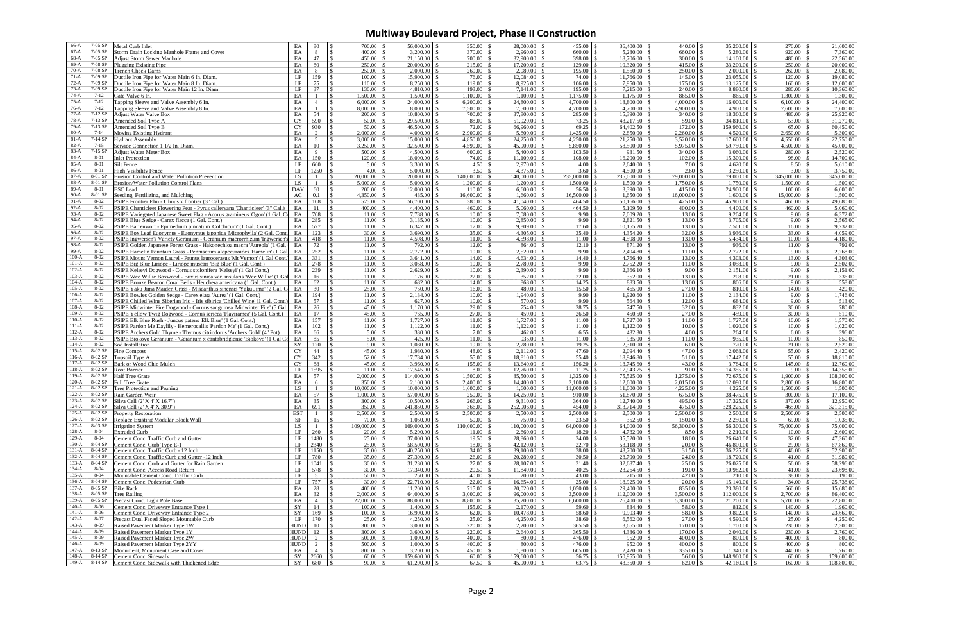## **Multiway Boulevard Project, Phase II Construction**

| $66-A$  | 7-05 SP   | Metal Curb Inlet                                                              | EA          | 80             | 700.00                         | $56,000.00$ \$      | $350.00 \, \text{S}$        | 28,000.00             |                       | 36,400.00             | 440.00               | 35,200.00             | 270.00              | 21,600.00             |
|---------|-----------|-------------------------------------------------------------------------------|-------------|----------------|--------------------------------|---------------------|-----------------------------|-----------------------|-----------------------|-----------------------|----------------------|-----------------------|---------------------|-----------------------|
| $67-A$  | 7-05 SP   | Storm Drain Locking Manhole Frame and Cover                                   | EA          | 8              |                                | $3,200.00$ \$       | $370.00$ \ \$               | 2,960.00              |                       | 5,280.00              | 660.00               | 5,280.00              | $920.00$ \ \$       | 7,360.00              |
| 68-A    | 7-05 SP   | <b>Adjust Storm Sewer Manhole</b>                                             | EA          | 47             | -S                             | 21,150.00           |                             | 32,900.00             | $398.00$ \ \$         | 18,706.00             | 300.00               | 14,100.00             | 480.00              | 22,560.00             |
| $69-A$  | 7-08 SP   | <b>Plugging Existing Pipe</b>                                                 | EA          | 80             | 250.00                         | 20,000.00           | 215.00                      | 17,200.00             | 129.00                | 10,320.00             | 415.00               | 33,200.00             | 250.00              | 20,000.00             |
| $70-A$  | 7-08 SP   | <b>Trench Check Dams</b>                                                      | EA          | 8              |                                | 2,000.00            | 260.00                      | 2,080.00              |                       | 1,560.00              | 250.00               | 2,000.00              |                     | 2,080.00              |
| $71-A$  | 7-09 SP   | Ductile Iron Pipe for Water Main 6 In. Diam.                                  | LF          | 159            | - \$                           | 15,900.00           | $76.00 \, \text{S}$         | 12,084.00             | 74.00 \$              | 11,766.00             | 145.00               | 23,055.00             |                     | 19,080.00             |
| $72-A$  | 7-09 SP   | Ductile Iron Pipe for Water Main 8 In. Diam.                                  | $\rm LF$    | 75             | -8                             | 8,250.00            | $119.00 \mid$ \$            | 8,925.00              | 106.00                | 7,950.00              | 175.00               | 13,125.00             | 160.00              | 12,000.00             |
| $73-A$  | 7-09 SP   | Ductile Iron Pipe for Water Main 12 In. Diam.                                 | $\rm LF$    | 37             | -8                             | 4,810.00            |                             | 7,141.00              | 195.00                | 7,215.00              | 240.00               | 8,880.00              | 280.00              | 10,360.00             |
| $74-A$  | $7 - 12$  | Gate Valve 6 In.                                                              | EA          |                | $1,500.00$ \$                  | 1,500.00            | 1,100.00                    | 1,100.00              | $1,175.00$ \$         | 1,175.00              | 865.00               | 865.00                | 1,300.00            | 1,300.00              |
| $75-A$  | $7 - 12$  | Tapping Sleeve and Valve Assembly 6 In.                                       | EA          | $\overline{4}$ | -S                             | 24,000.00           |                             | 24,800.00             | 4,700.00              | 18,800.00             | 4,000.00             | 16,000.00             |                     | 24,400.00             |
| $76-A$  | $7 - 12$  | Tapping Sleeve and Valve Assembly 8 In.                                       | EA          |                | $\mathcal{S}$                  | 8,000.00            | ΙS                          | 7,500.00              |                       | 4,700.00              | 4,900.00             | 4,900.00              | 7,600.00            | 7,600.00              |
| $77-A$  | 7-12 SP   | Adjust Water Valve Box                                                        | EA          | 54             | 200.00                         | 10,800.00           | 700.00                      | 37,800.00             | $285.00$ \$           | 15,390.00             | 340.00               | 18,360.00             | 480.00              | 25,920.00             |
| $78-A$  | 7-13 SP   | Amended Soil Type A                                                           | <b>CY</b>   | 590            | 50.00                          | 29,500.00           | 88.00                       | 51,920.00             | 73.25                 | 43,217.50             | 59.00                | 34,810.00             | 53.00               | 31,270.00             |
| $79-A$  | $7-13$ SP | Amended Soil Type B                                                           | <b>CY</b>   | 930            | - \$                           | 46,500.00           | ΙS                          | 66,960.00             |                       | 64,402.50             | 172.00               | 159,960.00            |                     | 60,450.00             |
| $80-A$  | 7-14      | Moving Existing Hydrant                                                       | EA          | 2              |                                | 4,000.00            |                             | 5,800.00              |                       | 2,850.00              | 2,260.00             | 4,520.00              | 2,650.00            | 5,300.00              |
| $81-A$  | 7-14 SP   | <b>Hydrant Assembly</b>                                                       | EA          | 5              | $3,000.00$ \ \$                | 15,000.00           | 4,850.00                    | 24,250.00             | 4,250.00              | 21,250.00             | 3,520.00             | 17,600.00             | 4,550.00            | 22,750.00             |
| $82-A$  | $7 - 15$  | Service Connection 1 1/2 In. Diam.                                            | EA          | 10             | $\mathcal{S}$<br>3,250.00      | 32,500.00           | 4,590.00                    | 45,900.00             | 5,850.00              | 58,500.00             | 5,975.00             | 59,750.00             | 4,500.00            | 45,000.00             |
| $83-A$  | 7-15 SP   |                                                                               | EA          | 9              |                                | 4,500.00            |                             |                       |                       | 931.50                | 340.00               | 3,060.00              |                     |                       |
| $84-A$  | 8-01      | Adjust Water Meter Box                                                        | EA          | 150            |                                | 18,000.00           |                             | 5,400.00              |                       |                       | 102.00               |                       | 98.00               | 2,520.00              |
| $85-A$  | 8-01      | <b>Inlet Protection</b><br>Silt Fence                                         | LF          |                | $120.00 \, \vert \, \$<br>5.00 | 3,300.00            | $74.00 \, \text{S}$<br>4.50 | 11,100.00             | 108.00<br>4.00        | 16,200.00<br>2,640.00 | 7.00                 | 15,300.00<br>4,620.00 | 8.50                | 14,700.00<br>5,610.00 |
| $86-A$  | 8-01      |                                                                               |             | 660            |                                |                     |                             | 2,970.00              |                       |                       |                      |                       |                     |                       |
| $87-A$  |           | <b>High Visibility Fence</b>                                                  | $\rm LF$    | 1250           | 4.00<br>-8                     | 5,000.00            | 3.50 <sup>8</sup>           | 4,375.00              | 3.60                  | 4,500.00              | 2.60                 | 3,250.00              | 3.00                | 3,750.00              |
|         | 8-01 SP   | Erosion Control and Water Pollution Prevention                                | LS          |                | 20,000.00                      | 20,000.00           | 140,000.00                  | 140,000.00            | 235,000.00            | 235,000.00            | 79,000.00            | 79,000.00             | 345,000.00          | 345,000.00            |
| $88-A$  | 8-01 SP   | Erosion/Water Pollution Control Plans                                         | LS          |                | 5,000.00                       | 5,000.00            | 1,200.00                    | 1,200.00              | 1,500.00              | 1,500.00              | 1,750.00             | 1,750.00              | 1,500.00            | 1,500.00              |
| $89-A$  | 8-01      | <b>ESC Lead</b>                                                               | <b>DAY</b>  | 60             |                                | 12,000.00           | 110.00                      | 6,600.00              | 56.50                 | 3,390.00              | 415.00               | 24,900.00             | $100.00$ \$         | 6,000.00              |
| $90-A$  | 8-01 SP   | Seeding, Fertilizing, and Mulching                                            | AC          | 0.1            | - \$                           | 435.00              | 16,600.00                   | 1,660.00              | 16,500.00             | 1,650.00              | 16,000.00            | 1,600.00              | 15,000.00           | 1,500.00              |
| $91-A$  | $8 - 02$  | PSIPE Frontier Elm - Ulmus x frontier (3" Cal.)                               | EA          | 108            | -8                             | 56,700.00           |                             | 41,040.00             | 464.50                | 50,166.00             | 425.00               | 45,900.00             | 460.00              | 49,680.00             |
| $92-A$  | 8-02      | PSIPE Chanticleer Flowering Pear - Pyrus calleryana 'Chanticleer' (3" Cal.)   | EA          | -11            |                                |                     | $460.00$ \ \$               | 5,060.00              |                       | 5,109.50              | 400.00               | 4,400.00              |                     | 5,060.00              |
| $93-A$  | $8 - 02$  | PSIPE Variegated Japanese Sweet Flag - Acorus gramineus 'Ogon' (1 Gal. C      | EA          | 708            |                                | 7,788.00            | 10.00                       | 7,080.00              | 9.90                  | 7,009.20              | 13.00                | 9,204.00              | 9.00                | 6,372.00              |
| $94-A$  | 8-02      | PSIPE Blue Sedge - Carex flacca (1 Gal. Cont.)                                | EA          | 285            | 11.00                          | 3,135.00            | 10.00                       | 2,850.00              | 9.90                  | 2,821.50              | 13.00                | 3,705.00              | 9.00                | 2,565.00              |
| $95-A$  | $8 - 02$  | PSIPE Barrenwort - Epimedium pinnatum 'Colchicum' (1 Gal. Cont.)              | EA          | 577            |                                | 6,347.00            | 17.00                       | 9,809.00              | 17.60                 | 10,155.20             | 13.00                | 7,501.00              | $16.00 \, \text{S}$ | 9,232.00              |
| $96-A$  | $8 - 02$  | PSIPE Box Leaf Euonymus - Euonymus japonica 'Microphylla' (2 Gal. Cont        | EA          | 123            |                                | 3,690.00            | 35.00                       | 4,305.00              | $35.40 \, \vert \, \$ | 4,354.20              | 32.00                | 3,936.00              | $33.00$ \$          | 4,059.00              |
| $97-A$  | 8-02      | PSIPE Ingwersen's Variety Geranium - Geranium macrorrhizum Ingwersen'         | EA          | 418            | $11.00 \,$ \ \$                | 4,598.00            |                             | 4,598.00              | $11.00$ \$            | 4,598.00              | 13.00                | 5,434.00              | $10.00 \, \text{S}$ | 4,180.00              |
| 98-A    | 8-02      | PSIPE Golden Japanese Forest Grass - Hakonechloa macra 'Aureola' (1 Gal       | EA          | 72             | $11.00$   \$                   | 792.00              | 12.00                       | 864.00                | 12.10                 | 871.20                | 13.00                | 936.00                |                     | 792.00                |
| $99-A$  | $8 - 02$  | PSIPE Hamelin Fountain Grass - Pennisetum alopecuroides 'Hamelin' (1 Ga)      | EA          | 252            | $11.00$   \$<br>-8             |                     |                             | 2,520.00              | 9.90                  | 2,494.80              | 11.00                | 2,772.00              | $9.00 \, \text{S}$  | 2,268.00              |
| $100-A$ | 8-02      | PSIPE Mount Vernon Laurel - Prunus laurocerasus 'Mt Vernon' (1 Gal Cont       | EA          | 331            | $11.00$   \$                   |                     | 14.00                       | 4,634.00              | 14.40                 | 4,766.40              | 13.00                | 4,303.00              | $13.00 \, \text{S}$ | 4,303.00              |
| $101-A$ | $8 - 02$  | PSIPE Big Blue Liriope - Liriope muscari 'Big Blue' (1 Gal. Cont.)            | EA          | 278            | $11.00$   \$                   | $3,058.00$ \$       | $10.00 \, \vert \, \$       | 2,780.00              | 9.90                  | 2,752.20              | 11.00                | 3,058.00              | $9.00 \, \text{S}$  | 2,502.00              |
| $102-A$ | 8-02      | PSIPE Kelseyi Dogwood - Cornus stolonifera 'Kelseyi' (1 Gal Cont.)            | EA          | 239            |                                | 2,629.00            | 10.00                       | 2,390.00              | 9.90                  | 2,366.10              | 9.00                 | 2,151.00              | 9.00                | 2,151.00              |
| $103-A$ | $8 - 02$  | PSIPE Wee Willie Boxwood - Buxus sinica var. insularis 'Wee Willie' (1 Gal    | EA          | 16             | 11.00                          | 176.00              | 22.00                       | 352.00                | 22.00                 | 352.00                | 13.00                | 208.00                |                     | 336.00                |
| $104-A$ | $8 - 02$  | PSIPE Bronze Beacon Coral Bells - Heuchera americana (1 Gal. Cont.)           | EA          | 62             | 11.00                          | 682.00              | 14.00                       | 868.00                |                       | 883.50                | 13.00                | 806.00                | $9.00 \, \text{S}$  | 558.00                |
| $105-A$ | 8-02      | PSIPE Yaku Jima Maiden Grass - Miscanthus sinensis 'Yaku Jima' (2 Gal. C      | EA          | 30             |                                | $750.00$ \ \$       | 16.00                       | 480.00                |                       | 465.00                | 27.00                | 810.00                | $14.00 \,$ \ \$     | 420.00                |
| $106-A$ | $8 - 02$  | PSIPE Bowles Golden Sedge - Carex elata 'Aurea' (1 Gal. Cont.                 | EA          | 194            | $11.00$   \$                   | 2,134.00            | 10.00                       | 1,940.00              | 9.90                  | 1,920.60              | 11.00                | 2,134.00              | 9.00                | 1,746.00              |
| $107-A$ | $8 - 02$  | PSIPE Chilled Wine Siberian Iris - Iris sibirica 'Chilled Wine' (1 Gal. Cont. | EA          | 57             | 11.00                          | 627.00              | 10.00                       | 570.00                | 9.90                  | 564.30                | 12.00                | 684.00                | 9.00                | 513.00                |
| $108-A$ | 8-02      | PSIPE Midwinter Fire Dogwood - Cornus sanguinea 'Midwinter Fire' (5 Gal       | EA          | 26             | $45.00 \mid$ \$                |                     |                             | 754.00                |                       | 747.50                | 32.00                | 832.00                | $30.00 \, \text{S}$ | 780.00                |
| $109-A$ | 8-02      |                                                                               |             | 17             |                                | 765.00              | 27.00                       | 459.00                | 26.50                 | 450.50                | 27.00                | 459.00                | 30.00               |                       |
| $110-A$ | 8-02      | PSIPE Yellow Twig Dogwood - Cornus sericea 'Flaviramea' (5 Gal. Cont.)        | EA          |                |                                |                     |                             |                       |                       |                       |                      |                       |                     | 510.00                |
|         | $8 - 02$  | PSIPE Elk Blue Rush - Juncus patens 'Elk Blue' (1 Gal. Cont.)                 | EA          | 157            | $11.00 \, \text{S}$            | 1,727.00            | 11.00                       | 1,727.00              | $11.00$ \$            | 1,727.00              | 11.00                | 1,727.00              | 10.00               | 1,570.00              |
| $111-A$ |           | PSIPE Pardon Me Daylily - Hemerocallis 'Pardon Me' (1 Gal. Cont.)             | EA          | 102            | 11.00                          | 1,122.00            | 11.00                       | 1,122.00              | 11.00                 | 1,122.00              | 10.00                | 1,020.00              | $10.00\,$ \$        | 1,020.00              |
| $112-A$ | 8-02      | PSIPE Archers Gold Thyme - Thymus citriodorus 'Archers Gold' (4" Pot)         | EA          | 66             | 5.00                           | 330.00              | 7.00                        | 462.00                | 6.55                  | 432.30                | 4.00                 | 264.00                | $6.00 \, \text{S}$  | 396.00                |
| $113-A$ | $8 - 02$  | PSIPE Biokovo Geranium - 'Geranium x cantabridgiense 'Biokovo' (1 Gal C       | EA          | 85             | 5.00                           | 425.00              | 11.00                       | 935.00                | 11.00                 | 935.00                | 11.00                | 935.00                | 10.00               | 850.00                |
| $114-A$ | $8 - 02$  | Sod Installation                                                              | SY          | 120            | 9.00                           | 1,080.00            | 19.00                       | 2,280.00              | 19.25                 | 2,310.00              | 6.00                 | 720.00                |                     | 2,520.00              |
| $115-A$ | 8-02 SP   | Fine Compost                                                                  | <b>CY</b>   | 44             | $45.00$ \ \$                   | $1,980.00$   \$     | 48.00                       | 2,112.00              | 47.60                 | 2,094.40              | 47.00                | 2,068.00              | $55.00 \, \text{S}$ | 2,420.00              |
| $116-A$ | 8-02 SP   | Topsoil Type A                                                                | <b>CY</b>   | 342            |                                | 17,784.00 \$        |                             | 18,810.00             | 55.40                 | 18,946.80             | 51.00                | 17,442.00             | 55.00               | 18,810.00             |
| $117-A$ | 8-02 SP   | Bark or Wood Chip Mulch                                                       | <b>CY</b>   | 88             | $45.00 \,$ \ \$                |                     |                             | 13,640.00             | $156.20$ \ \\$        | 13,745.60             | 43.00                | 3,784.00              |                     | 12,760.00             |
| $118-A$ | 8-02 SP   | Root Barrier                                                                  | LF          | 1595           | <sup>\$</sup><br>$11.00$   \$  | 17,545.00           | 8.00                        | 12,760.00             |                       | 17,943.75             | 9.00                 | 14,355.00             | 9.00                | 14,355.00             |
| $119-A$ | 8-02 SP   | Half Tree Grate                                                               | EA          | 57             | $\mathcal{S}$                  | 114,000.00          | ΙS                          | 85,500.00             | 1,325.00 \$           | 75,525.00             | 1,275.00             | 72,675.00             |                     | 108,300.00            |
| $120-A$ | 8-02 SP   | <b>Full Tree Grate</b>                                                        | EA          | 6              | <sup>\$</sup><br>$350.00$ \ \$ | $2,100.00$ \$       |                             | 14,400.00             | $2,100.00$ \$         | 12,600.00             | 2,015.00             | 12,090.00             |                     | 16,800.00             |
| $121-A$ | 8-02 SP   | Tree Protection and Pruning                                                   | LS          | $\overline{1}$ | $\mathcal{S}$                  | $10,000.00$ \$      |                             | 1,600.00              | $11,000.00$ \$        | 11,000.00             | $4,225.00$ \$        | 4,225.00              | -S                  | 1,500.00              |
| $122-A$ | 8-02 SP   | Rain Garden Weir                                                              | EA          | 57             | $1,000.00$ \$                  | 57,000.00 \$        |                             | 14,250.00             | $910.00$ \$           | 51,870.00 \$          | $675.00$ \ \ \$      | 38,475.00 \$          |                     | 17,100.00             |
| $123-A$ | 8-02 SP   | Silva Cell (2' X 4' X 16.7")                                                  | EA          | 35             | - \$                           | $10,500.00$ \$      |                             | 9,310.00              |                       | 12,740.00             |                      | 17,325.00             |                     | 12,950.00             |
| $124-A$ | 8-02 SP   | Silva Cell (2' X 4' X 30.9")                                                  | EA          | 691            | l S                            | 241,850.00 \$       | $366.00$ \ \ \$             | 252,906.00            |                       | 313,714.00            |                      | 328,225.00            |                     | 321,315.00            |
| $125-A$ | 8-02 SP   | <b>Property Restoration</b>                                                   | <b>EST</b>  |                |                                | $2,500.00$ \$       | $2,500.00$ \$               | 2,500.00              |                       | 2,500.00              | 2,500.00             | 2,500.00              | $2,500.00$ \$       | 2,500.00              |
| $126-A$ | 8-02 SP   | Replace Existing Modular Block Wall                                           | SF          | 15             | - \$                           | $1,050.00$ \$       | $50.00$ \ \ \$              | 750.00                | $23.50 \, \text{S}$   | 352.50                |                      | 2,250.00              | $69.00$ \$          | 1,035.00              |
| $127-A$ | 8-03 SP   | <b>Irrigation System</b>                                                      | LS          |                | 109,000.00                     | $109,000.00$ \$     | $110,000.00$ \$             | 110,000.00            | $64,000.00$ \$        | 64,000.00             | 56,300.00            | 56,300.00             | $75,000.00$ \ \ \$  | 75,000.00             |
| $128-A$ | 8-04      | <b>Extruded Curb</b>                                                          | $\rm LF$    | 260            |                                | 5,200.00            |                             | 2,860.00              | $18.20$ \$            | 4,732.00              | 8.50                 | 2,210.00              | $10.00 \, \text{S}$ | 2,600.00              |
| $129-A$ | $8 - 04$  | Cement Conc. Traffic Curb and Gutter                                          | LF          | 1480           | $25.00 \, \text{S}$            | $37,000.00$ \$      |                             | 28,860.00             | $24.00 \, \vert \, \$ | 35,520.00             | 18.00                | 26,640.00             | $32.00 \, \text{S}$ | 47,360.00             |
| $130-A$ | 8-04 SP   | Cement Conc. Curb Type E-1                                                    | LF          | 2340           | $25.00 \, \text{S}$<br>-8      | 58,500.00 \$        | $18.00 \, \text{S}$         | 42,120.00             |                       | 53,118.00             | 20.00                | 46,800.00             | $29.00 \, \text{S}$ | 67,860.00             |
| $131-A$ | 8-04 SP   | Cement Conc. Traffic Curb - 12 Inch                                           | LF          | 1150           | $35.00 \, \text{S}$            | $40,250.00$ \$      | $34.00 \mid$ \$             | 39,100.00             | $38.00$ \ \$          | 43,700.00             | 31.50                | 36,225.00             | $46.00 \, \text{S}$ | 52,900.00             |
| $132-A$ | 8-04 SP   | Cement Conc. Traffic Curb and Gutter -12 Inch                                 | LF          | 780            |                                | $27,300.00$ \$      | $26.00$ \$                  | 20,280.00             |                       | 23,790.00             | $24.00 \, \text{S}$  | 18,720.00             | $41.00 \text{ S}$   | 31,980.00             |
| $133-A$ | 8-04 SP   | Cement Conc. Curb and Gutter for Rain Garden                                  | $\rm LF$    | 1041           | $30.00$ \$                     |                     | $27.00 \, \text{S}$         | 28,107.00             | $31.40 \,$ \ \$       | 32,687.40             | 25.00                | 26,025.00             | $56.00 \, \text{S}$ | 58,296.00             |
| $134-A$ | $8 - 04$  | Cement Conc. Access Road Return                                               | $\rm LF$    | 578            |                                |                     |                             | 11,849.00             |                       | 23,264.50             | 19.00                | 10,982.00             | $41.00 \, \text{S}$ | 23,698.00             |
| $135-A$ | 8-04      | Mountable Cement Conc. Traffic Curb                                           | LF          | 5              |                                | 250.00 \$           | $40.00$ \ \ \$              | 200.00                | $43.00 \, \text{S}$   | 215.00                | 42.00                | 210.00                |                     | 190.00                |
| $136-A$ | 8-04 SP   | Cement Conc. Pedestrian Curb                                                  | LF          | 757            | $30.00$ \$                     | $22,710.00$ \$      | $22.00 \,$ \$               | 16,654.00             | 25.00S                | 18,925.00             | 20.00                | 15,140.00             | $34.00\,$ \$        | 25,738.00             |
| $137-A$ | 8-05 SP   | <b>Bike Rack</b>                                                              | EA          | 28             |                                | 11,200.00           | $715.00$ \ \$               | 20,020.00             | $1,050.00$ \$         | 29,400.00             | 835.00               | 23,380.00             | $560.00$ \ \ \$     | 15,680.00             |
| $138-A$ | 8-05 SP   | <b>Tree Railing</b>                                                           | EA          | 32             | - \$                           | $64,000.00$ \$      |                             | 96,000.00             |                       | 112,000.00            |                      | 112,000.00            |                     | 86,400.00             |
| $139-A$ | 8-05 SP   | Precast Conc. Light Pole Base                                                 | EA          | $\overline{4}$ | - \$                           | 88,000.00 \$        |                             | 35,200.00             | $6,600.00$ \ \ \$     | 26,400.00             |                      |                       | 5,700.00 \$         | 22,800.00             |
| $140-A$ | $8 - 06$  | Cement Conc. Driveway Entrance Type 1                                         | SY          | 14             |                                | $1,400.00$ \$       |                             | 2,170.00              |                       | 834.40                | 58.00                | 812.00                |                     | 1,960.00              |
| $141-A$ | 8-06      | Cement Conc. Driveway Entrance Type 2                                         | SY          | 169            |                                | $16,900.00$ \$      |                             |                       |                       |                       | 58.00                | 9,802.00              |                     | 23,660.00             |
| $142-A$ | 8-07      |                                                                               | LF          | 170            | $25.00 \, \text{S}$            |                     | $25.00 \, \text{S}$         | 10,478.00<br>4,250.00 |                       | 9,903.40<br>6,562.00  | 27.00                | 4,590.00              | $25.00 \, \text{S}$ | 4,250.00              |
| $143-A$ | 8-09      | Precast Dual Faced Sloped Mountable Curb                                      | <b>HUND</b> | 10             |                                |                     |                             |                       |                       |                       |                      |                       |                     | 2,300.00              |
| $144-A$ | 8-09      | Raised Pavement Marker Type 1W                                                |             |                |                                | $3,000.00$ \$       |                             | 2,200.00              |                       | 3,655.00              | 170.00               | 1,700.00              |                     |                       |
|         |           | Raised Pavement Marker Type 1Y                                                | <b>HUND</b> | 12             | $300.00$ \ \$<br>-8            | 3,600.00            | $220.00$ \$                 | 2,640.00              | $365.50$ \$           | 4,386.00              | 170.00               | 2,040.00              |                     | 2,760.00              |
| $145-A$ | 8-09      | Raised Pavement Marker Type 2W                                                | HUND        | $\overline{2}$ | <sup>\$</sup>                  | 1,000.00            |                             | 800.00                | $476.00$ \ \ \$       | 952.00                | 400.00               | 800.00                |                     | 800.00                |
| $146-A$ | 8-09      | Raised Pavement Marker Type 2YY                                               | <b>HUND</b> | $\overline{2}$ | - \$                           | $1,000.00$ \$       |                             | 800.00                | $476.00$ \ \ \$       | 952.00                | $400.00$ \ \$        | 800.00                | $400.00$ \ \$       | 800.00                |
| $147-A$ | 8-13 SP   | Monument, Monument Case and Cover                                             | EA          | 4              |                                |                     |                             | 1,800.00              |                       | 2,420.00              | $335.00 \, \text{S}$ |                       |                     | 1,760.00              |
| $148-A$ | 8-14 SP   | Cement Conc. Sidewalk                                                         | SY          | 2660           | - \$                           | $159,600.00$ \ \ \$ | $60.00$ \ \ \$              | 159,600.00            |                       |                       | $56.00 \, \text{S}$  | 148,960.00 \$         | $60.00$ \$          | 159,600.00            |
| $149-A$ | 8-14 SP   | Cement Conc. Sidewalk with Thickened Edge                                     | SY          | 680            | - \$                           | $61,200.00$ \$      |                             | $45,900.00$ \$        |                       | $43,350.00$ \$        | 62.00                | $42,160.00$ \ \ \$    |                     | 108,800.00            |

| 35,200.00  | \$       | 270.00     | \$       | 21,600.00  |
|------------|----------|------------|----------|------------|
| 5,280.00   | \$       | 920.00     | \$       | 7,360.00   |
|            | \$       |            |          |            |
| 14,100.00  |          | 480.00     | \$       | 22,560.00  |
| 33,200.00  | \$       | 250.00     | \$       | 20,000.00  |
| 2,000.00   | \$       | 260.00     | \$       | 2,080.00   |
| 23,055.00  | \$       | 120.00     | \$       | 19,080.00  |
| 13,125.00  | \$       | 160.00     | \$       | 12,000.00  |
|            |          |            |          |            |
| 8,880.00   | \$       | 280.00     | \$       | 10,360.00  |
| 865.00     | \$       | 1,300.00   | \$       | 1,300.00   |
| 16,000.00  | \$       | 6,100.00   | \$       | 24,400.00  |
| 4,900.00   | \$       | 7,600.00   | \$       | 7,600.00   |
| 18,360.00  | \$       | 480.00     |          | 25,920.00  |
|            |          |            | \$       |            |
| 34,810.00  | \$       | 53.00      | \$       | 31,270.00  |
| 159,960.00 | \$       | 65.00      | \$       | 60,450.00  |
| 4,520.00   | \$       | 2,650.00   | \$       | 5,300.00   |
| 17,600.00  | \$       | 4,550.00   | \$       | 22,750.00  |
| 59,750.00  | \$       | 4,500.00   | \$       | 45,000.00  |
|            |          |            |          |            |
| 3,060.00   | \$       | 280.00     | \$       | 2,520.00   |
| 15,300.00  | \$       | 98.00      | \$       | 14,700.00  |
| 4,620.00   | \$       | 8.50       | \$       | 5,610.00   |
| 3,250.00   | \$       | 3.00       | \$       | 3,750.00   |
| 79,000.00  | \$       | 345,000.00 | \$       | 345,000.00 |
|            |          |            |          |            |
| 1,750.00   | \$       | 1,500.00   | \$       | 1,500.00   |
| 24,900.00  | \$       | 100.00     | \$       | 6,000.00   |
| 1,600.00   |          | 15,000.00  |          | 1,500.00   |
| 45,900.00  | \$<br>\$ | 460.00     | \$<br>\$ | 49,680.00  |
| 4,400.00   | \$       | 460.00     | \$       | 5,060.00   |
|            |          |            |          |            |
| 9,204.00   | \$       | 9.00       | \$       | 6,372.00   |
| 3,705.00   | \$       | 9.00       | \$       | 2,565.00   |
| 7,501.00   | \$       | 16.00      | \$       | 9,232.00   |
| 3,936.00   | \$       | 33.00      | \$       | 4,059.00   |
| 5,434.00   | \$       | 10.00      | \$       | 4,180.00   |
|            |          |            |          |            |
| 936.00     | \$       | 11.00      | \$       | 792.00     |
| 2,772.00   | \$       | 9.00       | \$       | 2,268.00   |
| 4,303.00   | \$       | 13.00      | \$       | 4,303.00   |
| 3,058.00   | \$       | 9.00       | \$       | 2,502.00   |
|            |          |            |          |            |
| 2,151.00   | \$       | 9.00       | \$       | 2,151.00   |
| 208.00     | \$       | 21.00      | \$       | 336.00     |
| 806.00     | \$       | 9.00       | \$       | 558.00     |
| 810.00     | \$       | 14.00      | \$       | 420.00     |
| 2,134.00   |          | 9.00       |          | 1,746.00   |
|            | \$       |            | \$       |            |
| 684.00     | \$       | 9.00       | \$       | 513.00     |
| 832.00     | \$       | 30.00      | \$       | 780.00     |
| 459.00     | \$       | 30.00      | \$       | 510.00     |
| 1,727.00   | \$       | 10.00      | \$       | 1,570.00   |
|            |          |            |          |            |
| 1,020.00   | \$       | 10.00      | \$       | 1,020.00   |
| 264.00     | \$       | 6.00       | \$       | 396.00     |
| 935.00     | \$       | 10.00      | \$       | 850.00     |
| 720.00     | \$       | 21.00      | \$       | 2,520.00   |
| 2,068.00   |          | 55.00      |          | 2,420.00   |
|            | \$<br>\$ |            | \$<br>\$ |            |
| 17,442.00  |          | 55.00      |          | 18,810.00  |
| 3,784.00   | \$       | 145.00     | \$       | 12,760.00  |
| 14,355.00  | \$       | 9.00       | \$       | 14,355.00  |
| 72,675.00  | \$       | 1.900.00   | \$       | 108,300.00 |
|            |          |            |          |            |
| 12,090.00  | \$       | 2,800.00   | \$       | 16,800.00  |
| 4,225.00   | \$       | 1,500.00   | \$       | 1,500.00   |
| 38,475.00  | \$       | 300.00     | \$       | 17,100.00  |
| 17,325.00  | \$       | 370.00     | \$       | 12,950.00  |
| 328,225.00 | \$       | 465.00     | \$       | 321,315.00 |
|            |          |            |          |            |
| 2,500.00   | \$       | 2,500.00   | \$       | 2,500.00   |
| 2,250.00   | \$       | 69.00      | \$       | 1,035.00   |
| 56,300.00  | \$       | 75,000.00  | \$       | 75,000.00  |
| 2,210.00   | \$       | 10.00      | \$       | 2,600.00   |
| 26,640.00  | \$       | 32.00      | \$       | 47,360.00  |
|            |          |            |          |            |
| 46,800.00  | \$       | 29.00      | \$       | 67,860.00  |
| 36,225.00  | \$       | 46.00      | \$       | 52,900.00  |
| 18,720.00  | \$       | 41.00      | \$       | 31,980.00  |
| 26,025.00  | \$       | 56.00      | \$       | 58,296.00  |
| 10,982.00  | \$       | 41.00      | \$       | 23,698.00  |
|            |          |            |          |            |
| 210.00     | \$       | 38.00      | \$       | 190.00     |
| 15,140.00  | \$       | 34.00      | \$       | 25,738.00  |
| 23,380.00  | \$       | 560.00     | \$       | 15,680.00  |
| 112,000.00 | \$       | 2,700.00   | \$       | 86,400.00  |
|            | \$       |            | \$       |            |
| 21,200.00  |          | 5,700.00   |          | 22,800.00  |
| 812.00     | \$<br>\$ | 140.00     | \$<br>\$ | 1,960.00   |
| 9,802.00   |          | 140.00     |          | 23,660.00  |
| 4,590.00   | \$       | 25.00      | \$       | 4,250.00   |
| 1,700.00   | \$       | 230.00     | \$       | 2,300.00   |
|            |          |            |          |            |
| 2,040.00   | \$       | 230.00     | \$       | 2,760.00   |
| 800.00     | \$       | 400.00     | \$       | 800.00     |
| 800.00     | \$       | 400.00     | \$       | 800.00     |
| 1,340.00   | \$       | 440.00     | \$       | 1,760.00   |
| 148,960.00 | \$       | 60.00      | \$       | 159,600.00 |
| 42,160.00  | \$       |            |          |            |
|            |          | 160.00     | \$       | 108,800.00 |